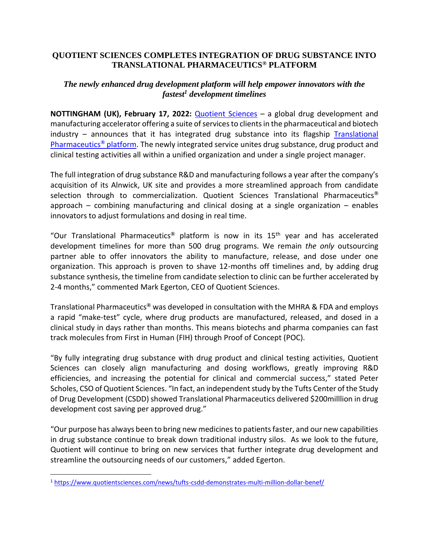## **QUOTIENT SCIENCES COMPLETES INTEGRATION OF DRUG SUBSTANCE INTO TRANSLATIONAL PHARMACEUTICS® PLATFORM**

## *The newly enhanced drug development platform will help empower innovators with the fastest<sup>1</sup> development timelines*

**NOTTINGHAM (UK), February 17, 2022:** [Quotient Sciences](https://bit.ly/357wsvO) – a global drug development and manufacturing accelerator offering a suite of services to clients in the pharmaceutical and biotech industry – announces that it has integrated drug substance into its flagship [Translational](https://bit.ly/3oONvJY)  [Pharmaceutics](https://bit.ly/3oONvJY)**®** platform. The newly integrated service unites drug substance, drug product and clinical testing activities all within a unified organization and under a single project manager.

The full integration of drug substance R&D and manufacturing follows a year after the company's acquisition of its Alnwick, UK site and provides a more streamlined approach from candidate selection through to commercialization. Quotient Sciences Translational Pharmaceutics**®** approach – combining manufacturing and clinical dosing at a single organization – enables innovators to adjust formulations and dosing in real time.

"Our Translational Pharmaceutics**®** platform is now in its 15th year and has accelerated development timelines for more than 500 drug programs. We remain *the only* outsourcing partner able to offer innovators the ability to manufacture, release, and dose under one organization. This approach is proven to shave 12-months off timelines and, by adding drug substance synthesis, the timeline from candidate selection to clinic can be further accelerated by 2-4 months," commented Mark Egerton, CEO of Quotient Sciences.

Translational Pharmaceutics**®** was developed in consultation with the MHRA & FDA and employs a rapid "make-test" cycle, where drug products are manufactured, released, and dosed in a clinical study in days rather than months. This means biotechs and pharma companies can fast track molecules from First in Human (FIH) through Proof of Concept (POC).

"By fully integrating drug substance with drug product and clinical testing activities, Quotient Sciences can closely align manufacturing and dosing workflows, greatly improving R&D efficiencies, and increasing the potential for clinical and commercial success," stated Peter Scholes, CSO of Quotient Sciences. "In fact, an independent study by the Tufts Center of the Study of Drug Development (CSDD) showed Translational Pharmaceutics delivered \$200milllion in drug development cost saving per approved drug."

"Our purpose has always been to bring new medicines to patients faster, and our new capabilities in drug substance continue to break down traditional industry silos. As we look to the future, Quotient will continue to bring on new services that further integrate drug development and streamline the outsourcing needs of our customers," added Egerton.

<sup>1</sup> [https://www.quotientsciences.com/news/tufts-csdd-demonstrates-multi-million-dollar-benef/](https://bit.ly/3sLdwLt)